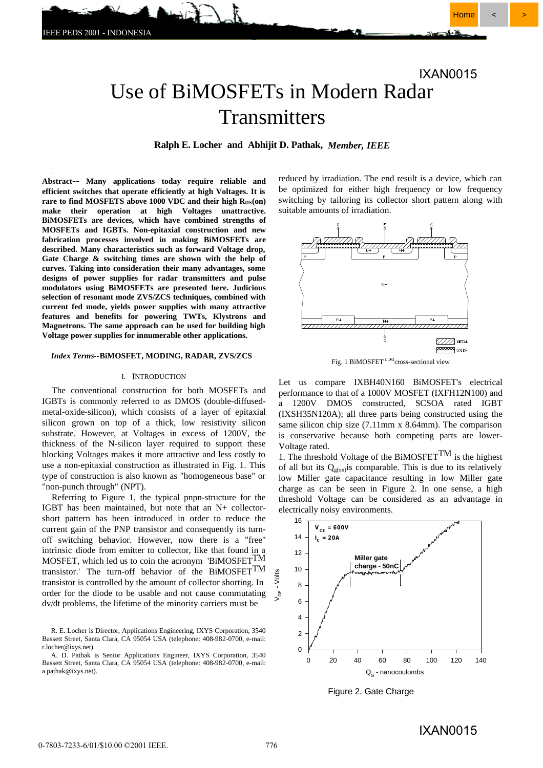# Use of BiMOSFETs in Modern Radar IXAN0015

# Transmitters

**Ralph E. Locher and Abhijit D. Pathak,** *Member, IEEE*

**Abstract-- Many applications today require reliable and efficient switches that operate efficiently at high Voltages. It is**  rare to find MOSFETS above 1000 VDC and their high R<sub>DS</sub>(on) **make their operation at high Voltages unattractive. BiMOSFETs are devices, which have combined strengths of MOSFETs and IGBTs. Non-epitaxial construction and new fabrication processes involved in making BiMOSFETs are described. Many characteristics such as forward Voltage drop, Gate Charge & switching times are shown with the help of curves. Taking into consideration their many advantages, some designs of power supplies for radar transmitters and pulse modulators using BiMOSFETs are presented here. Judicious selection of resonant mode ZVS/ZCS techniques, combined with current fed mode, yields power supplies with many attractive features and benefits for powering TWTs, Klystrons and Magnetrons. The same approach can be used for building high Voltage power supplies for innumerable other applications.**

#### *Index Terms***--BiMOSFET, MODING, RADAR, ZVS/ZCS**

#### I. INTRODUCTION

The conventional construction for both MOSFETs and IGBTs is commonly referred to as DMOS (double-diffusedmetal-oxide-silicon), which consists of a layer of epitaxial silicon grown on top of a thick, low resistivity silicon substrate. However, at Voltages in excess of 1200V, the thickness of the N-silicon layer required to support these blocking Voltages makes it more attractive and less costly to use a non-epitaxial construction as illustrated in Fig. 1. This type of construction is also known as "homogeneous base" or "non-punch through" (NPT).

Referring to Figure 1, the typical pnpn-structure for the IGBT has been maintained, but note that an N+ collectorshort pattern has been introduced in order to reduce the current gain of the PNP transistor and consequently its turnoff switching behavior. However, now there is a "free" intrinsic diode from emitter to collector, like that found in a MOSFET, which led us to coin the acronym 'BiMOSFET<sup>TM</sup> transistor.' The turn-off behavior of the BiMOSFETTM transistor is controlled by the amount of collector shorting. In order for the diode to be usable and not cause commutating dv/dt problems, the lifetime of the minority carriers must be

R. E. Locher is Director, Applications Engineering, IXYS Corporation, 3540 Bassett Street, Santa Clara, CA 95054 USA (telephone: 408-982-0700, e-mail: r.locher@ixys.net).

A. D. Pathak is Senior Applications Engineer, IXYS Corporation, 3540 Bassett Street, Santa Clara, CA 95054 USA (telephone: 408-982-0700, e-mail: a.pathak@ixys.net).

reduced by irradiation. The end result is a device, which can be optimized for either high frequency or low frequency switching by tailoring its collector short pattern along with suitable amounts of irradiation.



Fig. 1 BiMOSFET<sup> $1 \text{M}$ </sup>cross-sectional view

Let us compare IXBH40N160 BiMOSFET's electrical performance to that of a 1000V MOSFET (IXFH12N100) and a 1200V DMOS constructed, SCSOA rated IGBT (IXSH35N120A); all three parts being constructed using the same silicon chip size (7.11mm x 8.64mm). The comparison is conservative because both competing parts are lower-Voltage rated.

1. The threshold Voltage of the BiMOSFET<sup>TM</sup> is the highest of all but its  $Q_{\text{g}(on)}$  is comparable. This is due to its relatively low Miller gate capacitance resulting in low Miller gate charge as can be seen in Figure 2. In one sense, a high threshold Voltage can be considered as an advantage in electrically noisy environments.



Figure 2. Gate Charge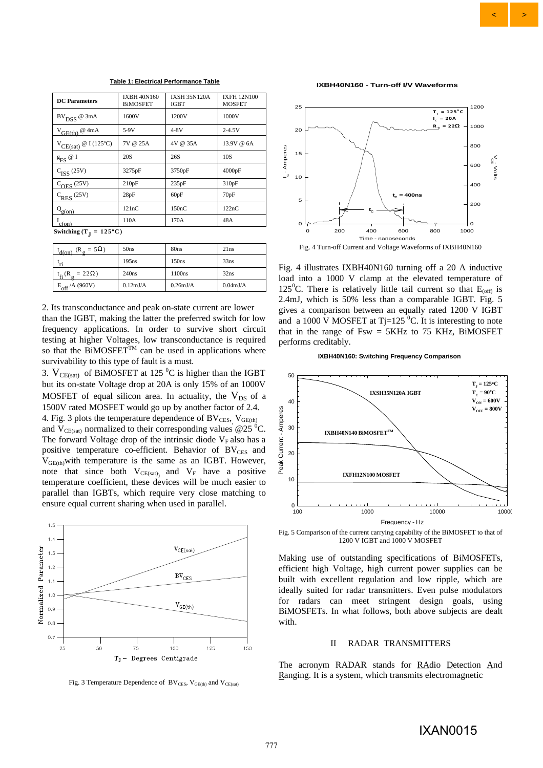#### **Table 1: Electrical Performance Table**

| <b>DC</b> Parameters                                                                            | <b>IXBH 40N160</b><br><b>BiMOSFET</b> | <b>IXSH 35N120A</b><br>IGBT | <b>IXFH 12N100</b><br><b>MOSFET</b> |
|-------------------------------------------------------------------------------------------------|---------------------------------------|-----------------------------|-------------------------------------|
| $\mathrm{BV}_{\mathrm{DSS}}$ @ 3mA                                                              | 1600V                                 | 1200V                       | 1000V                               |
| $V_{\text{GE(th)}}$ @ 4mA                                                                       | $5-9V$                                | $4-8V$                      | $2 - 4.5V$                          |
| $V_{CE(sat)}$ @ I (125°C)                                                                       | 7V @ 25A                              | 4V @ 35A                    | 13.9V @ 6A                          |
| $\underline{\mathbf{g}}_{\text{FS}}\,\textcolor{red}{\varnothing}\,\textcolor{red}{\mathrm{I}}$ | 20 <sub>S</sub>                       | 26S                         | 10S                                 |
| $C_{ISS}$ (25V)                                                                                 | 3275pF                                | 3750pF                      | 4000pF                              |
| $C_{OES}$ (25V)                                                                                 | 210pF                                 | 235pF                       | 310pF                               |
| $C_{RES}$ (25V)                                                                                 | 28pF                                  | 60pF                        | 70pF                                |
| $Q_{g(0n)}$                                                                                     | 121nC                                 | 150nC                       | 122nC                               |
| $I_{\text{c(on)}}$                                                                              | 110A                                  | 170A                        | 48A                                 |

**Switching (T<sub>J</sub> = 125°C)** 

| $(R_{\sigma} = 5\Omega)$<br>$d$ (on)         | 50 <sub>ns</sub>   | 80 <sub>ns</sub>   | 21ns               |
|----------------------------------------------|--------------------|--------------------|--------------------|
| ٠'n                                          | 195ns              | 150ns              | 33ns               |
| $t_{\rm fi}$ (R <sub>o</sub> = 22 $\Omega$ ) | 240ns              | 1100ns             | 32ns               |
| $E_{\text{off}}$ /A (960V)                   | $0.12 \text{mJ/A}$ | $0.26 \text{mJ/A}$ | $0.04 \text{mJ/A}$ |

2. Its transconductance and peak on-state current are lower than the IGBT, making the latter the preferred switch for low frequency applications. In order to survive short circuit testing at higher Voltages, low transconductance is required so that the BiMOSFET<sup>TM</sup> can be used in applications where survivability to this type of fault is a must.

3.  $V_{CE(sat)}$  of BiMOSFET at 125 °C is higher than the IGBT but its on-state Voltage drop at 20A is only 15% of an 1000V MOSFET of equal silicon area. In actuality, the  $V_{DS}$  of a 1500V rated MOSFET would go up by another factor of 2.4.

4. Fig. 3 plots the temperature dependence of  $BV_{CES}$ ,  $V_{GE(th)}$ and  $V_{CE(sat)}$  normalized to their corresponding values @25 <sup>o</sup>C. The forward Voltage drop of the intrinsic diode  $V_F$  also has a positive temperature co-efficient. Behavior of  $BV_{CES}$  and  $V_{\text{GE(th)}}$  with temperature is the same as an IGBT. However, note that since both  $V_{CE(sat)}$  and  $V_F$  have a positive temperature coefficient, these devices will be much easier to parallel than IGBTs, which require very close matching to ensure equal current sharing when used in parallel.



Fig. 3 Temperature Dependence of  $BV_{CES}$ ,  $V_{GE(th)}$  and  $V_{CE(sat)}$ 

**IXBH40N160 - Turn-off I/V Waveforms**



Fig. 4 illustrates IXBH40N160 turning off a 20 A inductive load into a 1000 V clamp at the elevated temperature of 125<sup>°</sup>C. There is relatively little tail current so that  $E_{\text{off}}$  is 2.4mJ, which is 50% less than a comparable IGBT. Fig. 5 gives a comparison between an equally rated 1200 V IGBT and a 1000 V MOSFET at Tj=125  $^0$ C. It is interesting to note that in the range of  $Fsw = 5KHz$  to 75 KHz, BiMOSFET performs creditably.

**IXBH40N160: Switching Frequency Comparison**



Fig. 5 Comparison of the current carrying capability of the BiMOSFET to that of 1200 V IGBT and 1000 V MOSFET

Making use of outstanding specifications of BiMOSFETs, efficient high Voltage, high current power supplies can be built with excellent regulation and low ripple, which are ideally suited for radar transmitters. Even pulse modulators for radars can meet stringent design goals, using BiMOSFETs. In what follows, both above subjects are dealt with.

## II RADAR TRANSMITTERS

The acronym RADAR stands for RAdio Detection And Ranging. It is a system, which transmits electromagnetic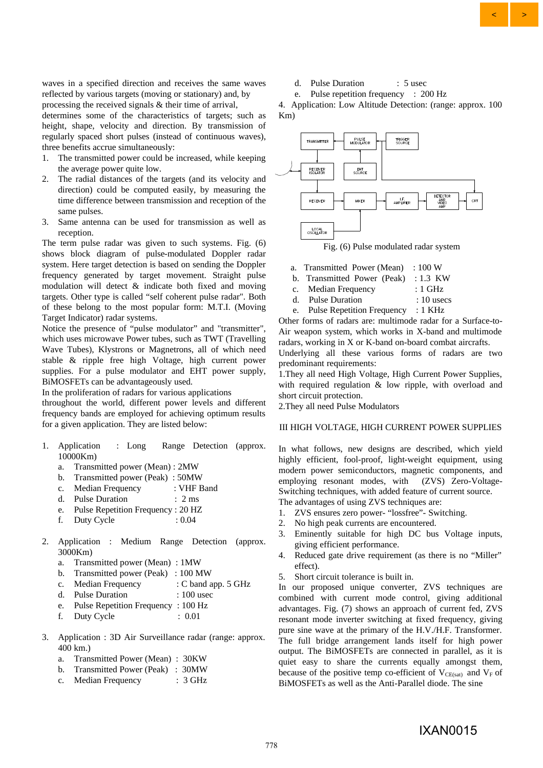waves in a specified direction and receives the same waves reflected by various targets (moving or stationary) and, by processing the received signals & their time of arrival,

determines some of the characteristics of targets; such as height, shape, velocity and direction. By transmission of regularly spaced short pulses (instead of continuous waves), three benefits accrue simultaneously:

- 1. The transmitted power could be increased, while keeping the average power quite low.
- 2. The radial distances of the targets (and its velocity and direction) could be computed easily, by measuring the time difference between transmission and reception of the same pulses.
- 3. Same antenna can be used for transmission as well as reception.

The term pulse radar was given to such systems. Fig. (6) shows block diagram of pulse-modulated Doppler radar system. Here target detection is based on sending the Doppler frequency generated by target movement. Straight pulse modulation will detect & indicate both fixed and moving targets. Other type is called "self coherent pulse radar". Both of these belong to the most popular form: M.T.I. (Moving Target Indicator) radar systems.

Notice the presence of "pulse modulator" and "transmitter", which uses microwave Power tubes, such as TWT (Travelling Wave Tubes), Klystrons or Magnetrons, all of which need stable & ripple free high Voltage, high current power supplies. For a pulse modulator and EHT power supply, BiMOSFETs can be advantageously used.

In the proliferation of radars for various applications

throughout the world, different power levels and different frequency bands are employed for achieving optimum results for a given application. They are listed below:

- 1. Application : Long Range Detection (approx. 10000Km)
	- a. Transmitted power (Mean) : 2MW
	- b. Transmitted power (Peak) : 50MW
	- c. Median Frequency : VHF Band
	- d. Pulse Duration : 2 ms
	- e. Pulse Repetition Frequency : 20 HZ
	- f. Duty Cycle : 0.04
- 2. Application : Medium Range Detection (approx. 3000Km)
	- a. Transmitted power (Mean) : 1MW
	- b. Transmitted power (Peak) : 100 MW
	- c. Median Frequency : C band app. 5 GHz
	- d. Pulse Duration : 100 usec
	- e. Pulse Repetition Frequency : 100 Hz
	- f. Duty Cycle : 0.01
- 3. Application : 3D Air Surveillance radar (range: approx.  $400 \; \text{km}$ )
	- a. Transmitted Power (Mean) : 30KW
	- b. Transmitted Power (Peak) : 30MW
	- c. Median Frequency : 3 GHz
- d. Pulse Duration : 5 usec
- e. Pulse repetition frequency : 200 Hz

4. Application: Low Altitude Detection: (range: approx. 100 Km)



Fig. (6) Pulse modulated radar system

- a. Transmitted Power (Mean) : 100 W
- b. Transmitted Power (Peak) : 1.3 KW
- c. Median Frequency : 1 GHz
- d. Pulse Duration : 10 usecs
- e. Pulse Repetition Frequency : 1 KHz

Other forms of radars are: multimode radar for a Surface-to-Air weapon system, which works in X-band and multimode radars, working in X or K-band on-board combat aircrafts.

Underlying all these various forms of radars are two predominant requirements:

1.They all need High Voltage, High Current Power Supplies, with required regulation & low ripple, with overload and short circuit protection.

2.They all need Pulse Modulators

# III HIGH VOLTAGE, HIGH CURRENT POWER SUPPLIES

In what follows, new designs are described, which yield highly efficient, fool-proof, light-weight equipment, using modern power semiconductors, magnetic components, and employing resonant modes, with (ZVS) Zero-Voltage-Switching techniques, with added feature of current source.

The advantages of using ZVS techniques are:

- 1. ZVS ensures zero power- "lossfree"- Switching.
- 2. No high peak currents are encountered.
- 3. Eminently suitable for high DC bus Voltage inputs, giving efficient performance.
- 4. Reduced gate drive requirement (as there is no "Miller" effect).
- 5. Short circuit tolerance is built in.

In our proposed unique converter, ZVS techniques are combined with current mode control, giving additional advantages. Fig. (7) shows an approach of current fed, ZVS resonant mode inverter switching at fixed frequency, giving pure sine wave at the primary of the H.V./H.F. Transformer. The full bridge arrangement lands itself for high power output. The BiMOSFETs are connected in parallel, as it is quiet easy to share the currents equally amongst them, because of the positive temp co-efficient of  $V_{CE(sat)}$  and  $V_F$  of BiMOSFETs as well as the Anti-Parallel diode. The sine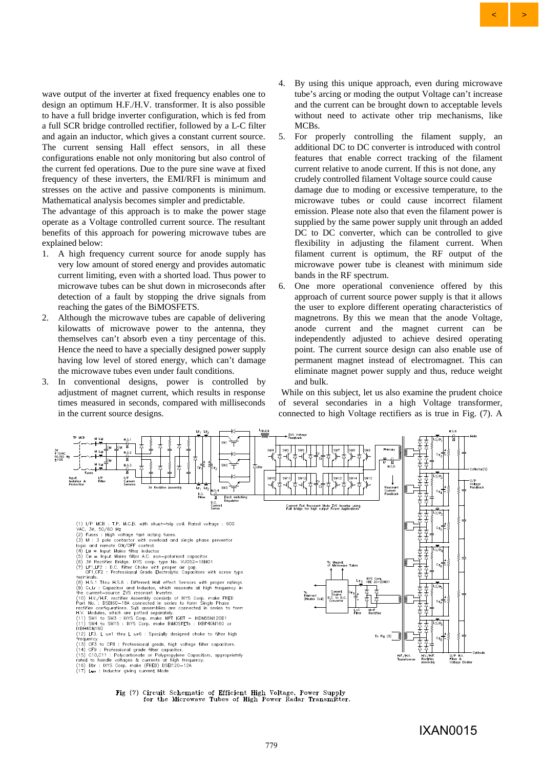wave output of the inverter at fixed frequency enables one to design an optimum H.F./H.V. transformer. It is also possible to have a full bridge inverter configuration, which is fed from a full SCR bridge controlled rectifier, followed by a L-C filter and again an inductor, which gives a constant current source. The current sensing Hall effect sensors, in all these configurations enable not only monitoring but also control of the current fed operations. Due to the pure sine wave at fixed frequency of these inverters, the EMI/RFI is minimum and stresses on the active and passive components is minimum. Mathematical analysis becomes simpler and predictable.

The advantage of this approach is to make the power stage operate as a Voltage controlled current source. The resultant benefits of this approach for powering microwave tubes are explained below:

- 1. A high frequency current source for anode supply has very low amount of stored energy and provides automatic current limiting, even with a shorted load. Thus power to microwave tubes can be shut down in microseconds after detection of a fault by stopping the drive signals from reaching the gates of the BiMOSFETS.
- 2. Although the microwave tubes are capable of delivering kilowatts of microwave power to the antenna, they themselves can't absorb even a tiny percentage of this. Hence the need to have a specially designed power supply having low level of stored energy, which can't damage the microwave tubes even under fault conditions.
- 3. In conventional designs, power is controlled by adjustment of magnet current, which results in response times measured in seconds, compared with milliseconds in the current source designs.

4. By using this unique approach, even during microwave tube's arcing or moding the output Voltage can't increase and the current can be brought down to acceptable levels without need to activate other trip mechanisms, like MCBs.

 $\left\langle \quad \right| \quad >$ 

- 5. For properly controlling the filament supply, an additional DC to DC converter is introduced with control features that enable correct tracking of the filament current relative to anode current. If this is not done, any crudely controlled filament Voltage source could cause damage due to moding or excessive temperature, to the microwave tubes or could cause incorrect filament emission. Please note also that even the filament power is supplied by the same power supply unit through an added DC to DC converter, which can be controlled to give flexibility in adjusting the filament current. When filament current is optimum, the RF output of the microwave power tube is cleanest with minimum side bands in the RF spectrum.
- 6. One more operational convenience offered by this approach of current source power supply is that it allows the user to explore different operating characteristics of magnetrons. By this we mean that the anode Voltage, anode current and the magnet current can be independently adjusted to achieve desired operating point. The current source design can also enable use of permanent magnet instead of electromagnet. This can eliminate magnet power supply and thus, reduce weight and bulk.

 While on this subject, let us also examine the prudent choice of several secondaries in a high Voltage transformer, connected to high Voltage rectifiers as is true in Fig. (7). A



Fig (7) Circuit Schematic of Efficient High Voltage, Power Supply<br>for the Microwave Tubes of High Power Radar Transmitter.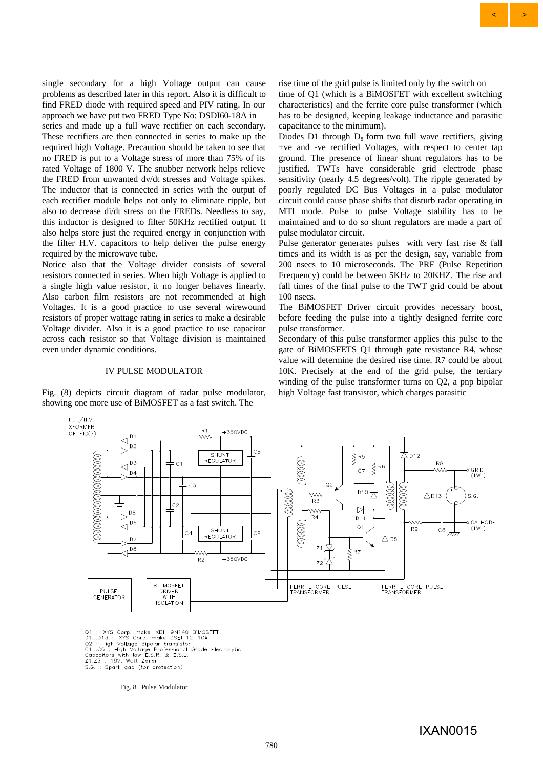single secondary for a high Voltage output can cause problems as described later in this report. Also it is difficult to find FRED diode with required speed and PIV rating. In our approach we have put two FRED Type No: DSDI60-18A in

series and made up a full wave rectifier on each secondary. These rectifiers are then connected in series to make up the required high Voltage. Precaution should be taken to see that no FRED is put to a Voltage stress of more than 75% of its rated Voltage of 1800 V. The snubber network helps relieve the FRED from unwanted dv/dt stresses and Voltage spikes. The inductor that is connected in series with the output of each rectifier module helps not only to eliminate ripple, but also to decrease di/dt stress on the FREDs. Needless to say, this inductor is designed to filter 50KHz rectified output. It also helps store just the required energy in conjunction with the filter H.V. capacitors to help deliver the pulse energy required by the microwave tube.

Notice also that the Voltage divider consists of several resistors connected in series. When high Voltage is applied to a single high value resistor, it no longer behaves linearly. Also carbon film resistors are not recommended at high Voltages. It is a good practice to use several wirewound resistors of proper wattage rating in series to make a desirable Voltage divider. Also it is a good practice to use capacitor across each resistor so that Voltage division is maintained even under dynamic conditions.

#### IV PULSE MODULATOR

Fig. (8) depicts circuit diagram of radar pulse modulator, showing one more use of BiMOSFET as a fast switch. The

rise time of the grid pulse is limited only by the switch on time of Q1 (which is a BiMOSFET with excellent switching characteristics) and the ferrite core pulse transformer (which has to be designed, keeping leakage inductance and parasitic capacitance to the minimum).

 $\left\langle \quad \right| \quad >$ 

Diodes D1 through  $D_8$  form two full wave rectifiers, giving +ve and -ve rectified Voltages, with respect to center tap ground. The presence of linear shunt regulators has to be justified. TWTs have considerable grid electrode phase sensitivity (nearly 4.5 degrees/volt). The ripple generated by poorly regulated DC Bus Voltages in a pulse modulator circuit could cause phase shifts that disturb radar operating in MTI mode. Pulse to pulse Voltage stability has to be maintained and to do so shunt regulators are made a part of pulse modulator circuit.

Pulse generator generates pulses with very fast rise & fall times and its width is as per the design, say, variable from 200 nsecs to 10 microseconds. The PRF (Pulse Repetition Frequency) could be between 5KHz to 20KHZ. The rise and fall times of the final pulse to the TWT grid could be about 100 nsecs.

The BiMOSFET Driver circuit provides necessary boost, before feeding the pulse into a tightly designed ferrite core pulse transformer.

Secondary of this pulse transformer applies this pulse to the gate of BiMOSFETS Q1 through gate resistance R4, whose value will determine the desired rise time. R7 could be about 10K. Precisely at the end of the grid pulse, the tertiary winding of the pulse transformer turns on Q2, a pnp bipolar high Voltage fast transistor, which charges parasitic



Q1 : IXYS Corp. make IXBH 9N140 BiMOSFET<br>D1...D13 : IXYS Corp. make DSEI 12-10A<br>Q2 : High Voltage Bipolar transistor<br>C1...C6 : High Voltage Professional Grade Ele<br>Capacitors with low E.S.R. & E.S.L.<br>Z1,Z2 : 18V,1Watt Zener Grade Flectrolytic Z1,Z2 : 18V,1Watt Zener<br>S.G. : Spark gap (for protection)

Fig. 8 Pulse Modulator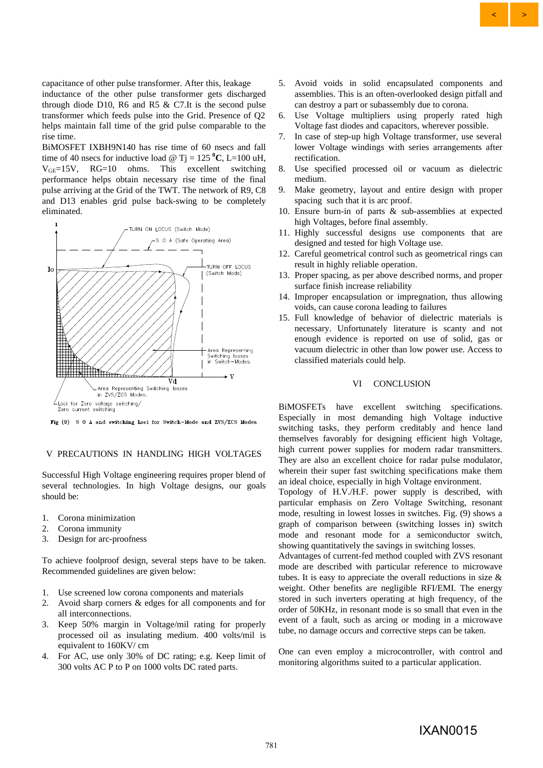$\left\langle \quad \right| \quad >$ 

capacitance of other pulse transformer. After this, leakage inductance of the other pulse transformer gets discharged through diode D10, R6 and R5  $&$  C7. It is the second pulse transformer which feeds pulse into the Grid. Presence of Q2 helps maintain fall time of the grid pulse comparable to the rise time.

BiMOSFET IXBH9N140 has rise time of 60 nsecs and fall time of 40 nsecs for inductive load  $\omega$  T<sub>1</sub> = 125  $^{\circ}$ C, L=100 uH,  $V_{GF}=15V$ ,  $RG=10$  ohms. This excellent switching performance helps obtain necessary rise time of the final pulse arriving at the Grid of the TWT. The network of R9, C8 and D13 enables grid pulse back-swing to be completely eliminated.



Fig (9) S 0 A and switching Loci for Switch-Mode and ZVS/ZCS Modes

# V PRECAUTIONS IN HANDLING HIGH VOLTAGES

Successful High Voltage engineering requires proper blend of several technologies. In high Voltage designs, our goals should be:

- 1. Corona minimization
- 2. Corona immunity
- 3. Design for arc-proofness

To achieve foolproof design, several steps have to be taken. Recommended guidelines are given below:

- 1. Use screened low corona components and materials
- 2. Avoid sharp corners & edges for all components and for all interconnections.
- 3. Keep 50% margin in Voltage/mil rating for properly processed oil as insulating medium. 400 volts/mil is equivalent to 160KV/ cm
- 4. For AC, use only 30% of DC rating; e.g. Keep limit of 300 volts AC P to P on 1000 volts DC rated parts.
- 5. Avoid voids in solid encapsulated components and assemblies. This is an often-overlooked design pitfall and can destroy a part or subassembly due to corona.
- 6. Use Voltage multipliers using properly rated high Voltage fast diodes and capacitors, wherever possible.
- 7. In case of step-up high Voltage transformer, use several lower Voltage windings with series arrangements after rectification.
- 8. Use specified processed oil or vacuum as dielectric medium.
- 9. Make geometry, layout and entire design with proper spacing such that it is arc proof.
- 10. Ensure burn-in of parts & sub-assemblies at expected high Voltages, before final assembly.
- 11. Highly successful designs use components that are designed and tested for high Voltage use.
- 12. Careful geometrical control such as geometrical rings can result in highly reliable operation.
- 13. Proper spacing, as per above described norms, and proper surface finish increase reliability
- 14. Improper encapsulation or impregnation, thus allowing voids, can cause corona leading to failures
- 15. Full knowledge of behavior of dielectric materials is necessary. Unfortunately literature is scanty and not enough evidence is reported on use of solid, gas or vacuum dielectric in other than low power use. Access to classified materials could help.

## VI CONCLUSION

BiMOSFETs have excellent switching specifications. Especially in most demanding high Voltage inductive switching tasks, they perform creditably and hence land themselves favorably for designing efficient high Voltage, high current power supplies for modern radar transmitters. They are also an excellent choice for radar pulse modulator, wherein their super fast switching specifications make them an ideal choice, especially in high Voltage environment.

Topology of H.V./H.F. power supply is described, with particular emphasis on Zero Voltage Switching, resonant mode, resulting in lowest losses in switches. Fig. (9) shows a graph of comparison between (switching losses in) switch mode and resonant mode for a semiconductor switch, showing quantitatively the savings in switching losses.

Advantages of current-fed method coupled with ZVS resonant mode are described with particular reference to microwave tubes. It is easy to appreciate the overall reductions in size & weight. Other benefits are negligible RFI/EMI. The energy stored in such inverters operating at high frequency, of the order of 50KHz, in resonant mode is so small that even in the event of a fault, such as arcing or moding in a microwave tube, no damage occurs and corrective steps can be taken.

One can even employ a microcontroller, with control and monitoring algorithms suited to a particular application.